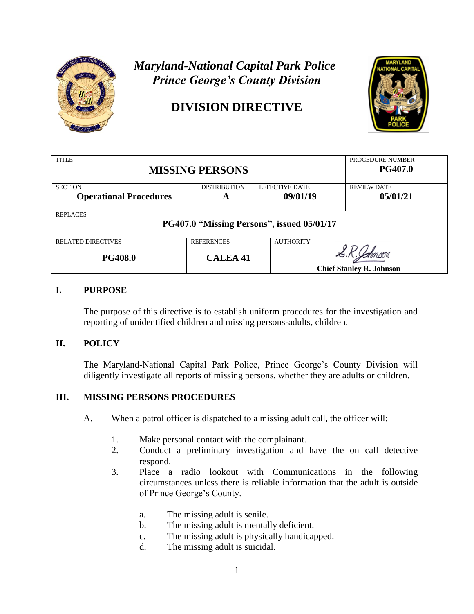

# *Prince George's County Division Prince George's County Division Maryland-National Capital Park Police*

# **DIVISION DIRECTIVE DIVISION DIRECTIVE**



| <b>TITLE</b><br><b>MISSING PERSONS</b>                        |                     |                       | PROCEDURE NUMBER<br><b>PG407.0</b> |  |
|---------------------------------------------------------------|---------------------|-----------------------|------------------------------------|--|
| <b>SECTION</b>                                                | <b>DISTRIBUTION</b> | <b>EFFECTIVE DATE</b> | <b>REVIEW DATE</b>                 |  |
| <b>Operational Procedures</b>                                 | A                   | 09/01/19              | 05/01/21                           |  |
| <b>REPLACES</b><br>PG407.0 "Missing Persons", issued 05/01/17 |                     |                       |                                    |  |
| <b>RELATED DIRECTIVES</b>                                     | <b>REFERENCES</b>   | <b>AUTHORITY</b>      |                                    |  |
| <b>PG408.0</b>                                                | <b>CALEA 41</b>     |                       |                                    |  |
|                                                               |                     |                       | <b>Chief Stanley R. Johnson</b>    |  |

## **I. PURPOSE**

The purpose of this directive is to establish uniform procedures for the investigation and reporting of unidentified children and missing persons-adults, children.

## **II. POLICY**

The Maryland-National Capital Park Police, Prince George's County Division will diligently investigate all reports of missing persons, whether they are adults or children.

#### **III. MISSING PERSONS PROCEDURES**

- A. When a patrol officer is dispatched to a missing adult call, the officer will:
	- 1. Make personal contact with the complainant.
	- 2. Conduct a preliminary investigation and have the on call detective respond.
	- 3. Place a radio lookout with Communications in the following circumstances unless there is reliable information that the adult is outside of Prince George's County.
		- a. The missing adult is senile.
		- b. The missing adult is mentally deficient.
		- c. The missing adult is physically handicapped.
		- d. The missing adult is suicidal.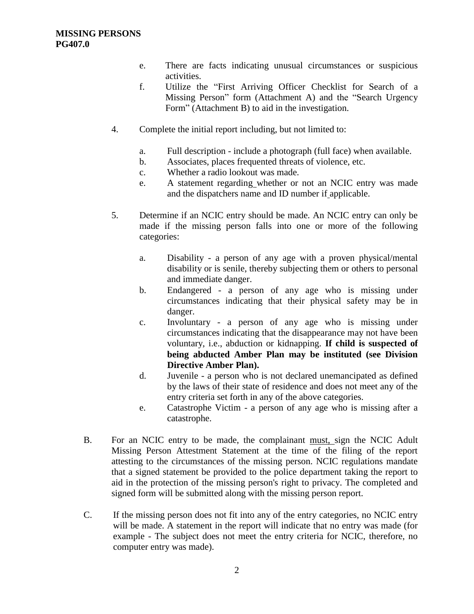- e. There are facts indicating unusual circumstances or suspicious activities.
- f. Utilize the "First Arriving Officer Checklist for Search of a Missing Person" form (Attachment A) and the "Search Urgency Form" (Attachment B) to aid in the investigation.
- 4. Complete the initial report including, but not limited to:
	- a. Full description include a photograph (full face) when available.
	- b. Associates, places frequented threats of violence, etc.
	- c. Whether a radio lookout was made.
	- e. A statement regarding whether or not an NCIC entry was made and the dispatchers name and ID number if applicable.
- 5. Determine if an NCIC entry should be made. An NCIC entry can only be made if the missing person falls into one or more of the following categories:
	- a. Disability a person of any age with a proven physical/mental disability or is senile, thereby subjecting them or others to personal and immediate danger.
	- b. Endangered a person of any age who is missing under circumstances indicating that their physical safety may be in danger.
	- c. Involuntary a person of any age who is missing under circumstances indicating that the disappearance may not have been voluntary, i.e., abduction or kidnapping. **If child is suspected of being abducted Amber Plan may be instituted (see Division Directive Amber Plan).**
	- d. Juvenile a person who is not declared unemancipated as defined by the laws of their state of residence and does not meet any of the entry criteria set forth in any of the above categories.
	- e. Catastrophe Victim a person of any age who is missing after a catastrophe.
- B. For an NCIC entry to be made, the complainant must, sign the NCIC Adult Missing Person Attestment Statement at the time of the filing of the report attesting to the circumstances of the missing person. NCIC regulations mandate that a signed statement be provided to the police department taking the report to aid in the protection of the missing person's right to privacy. The completed and signed form will be submitted along with the missing person report.
- C. If the missing person does not fit into any of the entry categories, no NCIC entry will be made. A statement in the report will indicate that no entry was made (for example - The subject does not meet the entry criteria for NCIC, therefore, no computer entry was made).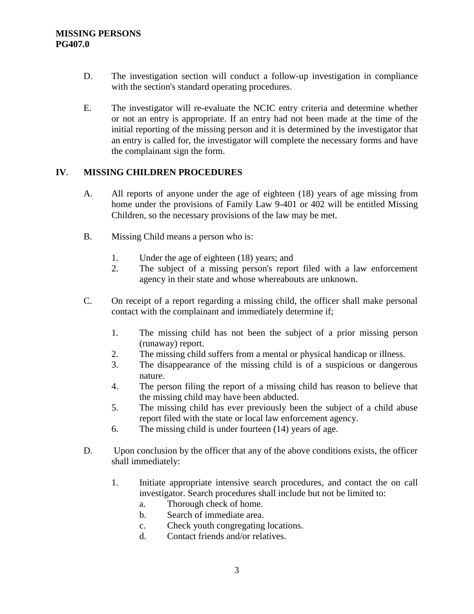- D. The investigation section will conduct a follow-up investigation in compliance with the section's standard operating procedures.
- E. The investigator will re-evaluate the NCIC entry criteria and determine whether or not an entry is appropriate. If an entry had not been made at the time of the initial reporting of the missing person and it is determined by the investigator that an entry is called for, the investigator will complete the necessary forms and have the complainant sign the form.

#### **IV**. **MISSING CHILDREN PROCEDURES**

- A. All reports of anyone under the age of eighteen (18) years of age missing from home under the provisions of Family Law 9-401 or 402 will be entitled Missing Children, so the necessary provisions of the law may be met.
- B. Missing Child means a person who is:
	- 1. Under the age of eighteen (18) years; and
	- 2. The subject of a missing person's report filed with a law enforcement agency in their state and whose whereabouts are unknown.
- C. On receipt of a report regarding a missing child, the officer shall make personal contact with the complainant and immediately determine if;
	- 1. The missing child has not been the subject of a prior missing person (runaway) report.
	- 2. The missing child suffers from a mental or physical handicap or illness.
	- 3. The disappearance of the missing child is of a suspicious or dangerous nature.
	- 4. The person filing the report of a missing child has reason to believe that the missing child may have been abducted.
	- 5. The missing child has ever previously been the subject of a child abuse report filed with the state or local law enforcement agency.
	- 6. The missing child is under fourteen (14) years of age.
- D. Upon conclusion by the officer that any of the above conditions exists, the officer shall immediately:
	- 1. Initiate appropriate intensive search procedures, and contact the on call investigator. Search procedures shall include but not be limited to:
		- a. Thorough check of home.
		- b. Search of immediate area.
		- c. Check youth congregating locations.
		- d. Contact friends and/or relatives.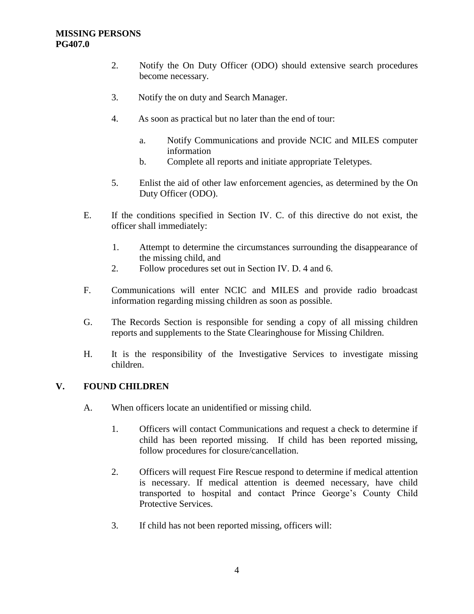#### **MISSING PERSONS PG407.0**

- 2. Notify the On Duty Officer (ODO) should extensive search procedures become necessary.
- 3. Notify the on duty and Search Manager.
- 4. As soon as practical but no later than the end of tour:
	- a. Notify Communications and provide NCIC and MILES computer information
	- b. Complete all reports and initiate appropriate Teletypes.
- 5. Enlist the aid of other law enforcement agencies, as determined by the On Duty Officer (ODO).
- E. If the conditions specified in Section IV. C. of this directive do not exist, the officer shall immediately:
	- 1. Attempt to determine the circumstances surrounding the disappearance of the missing child, and
	- 2. Follow procedures set out in Section IV. D. 4 and 6.
- F. Communications will enter NCIC and MILES and provide radio broadcast information regarding missing children as soon as possible.
- G. The Records Section is responsible for sending a copy of all missing children reports and supplements to the State Clearinghouse for Missing Children.
- H. It is the responsibility of the Investigative Services to investigate missing children.

#### **V. FOUND CHILDREN**

- A. When officers locate an unidentified or missing child.
	- 1. Officers will contact Communications and request a check to determine if child has been reported missing. If child has been reported missing, follow procedures for closure/cancellation.
	- 2. Officers will request Fire Rescue respond to determine if medical attention is necessary. If medical attention is deemed necessary, have child transported to hospital and contact Prince George's County Child Protective Services.
	- 3. If child has not been reported missing, officers will: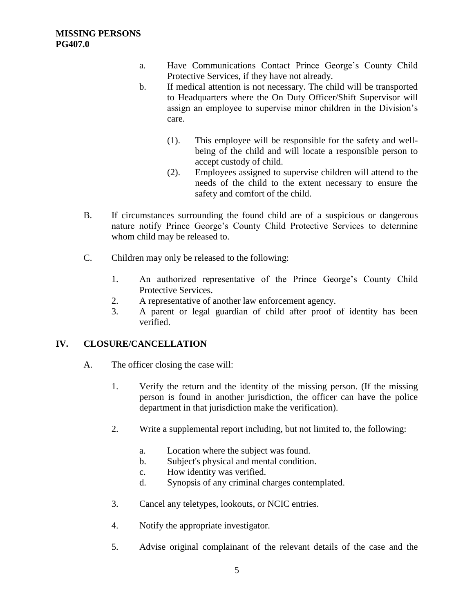- a. Have Communications Contact Prince George's County Child Protective Services, if they have not already.
- b. If medical attention is not necessary. The child will be transported to Headquarters where the On Duty Officer/Shift Supervisor will assign an employee to supervise minor children in the Division's care.
	- (1). This employee will be responsible for the safety and wellbeing of the child and will locate a responsible person to accept custody of child.
	- (2). Employees assigned to supervise children will attend to the needs of the child to the extent necessary to ensure the safety and comfort of the child.
- B. If circumstances surrounding the found child are of a suspicious or dangerous nature notify Prince George's County Child Protective Services to determine whom child may be released to.
- C. Children may only be released to the following:
	- 1. An authorized representative of the Prince George's County Child Protective Services.
	- 2. A representative of another law enforcement agency.
	- 3. A parent or legal guardian of child after proof of identity has been verified.

# **IV. CLOSURE/CANCELLATION**

- A. The officer closing the case will:
	- 1. Verify the return and the identity of the missing person. (If the missing person is found in another jurisdiction, the officer can have the police department in that jurisdiction make the verification).
	- 2. Write a supplemental report including, but not limited to, the following:
		- a. Location where the subject was found.
		- b. Subject's physical and mental condition.
		- c. How identity was verified.
		- d. Synopsis of any criminal charges contemplated.
	- 3. Cancel any teletypes, lookouts, or NCIC entries.
	- 4. Notify the appropriate investigator.
	- 5. Advise original complainant of the relevant details of the case and the